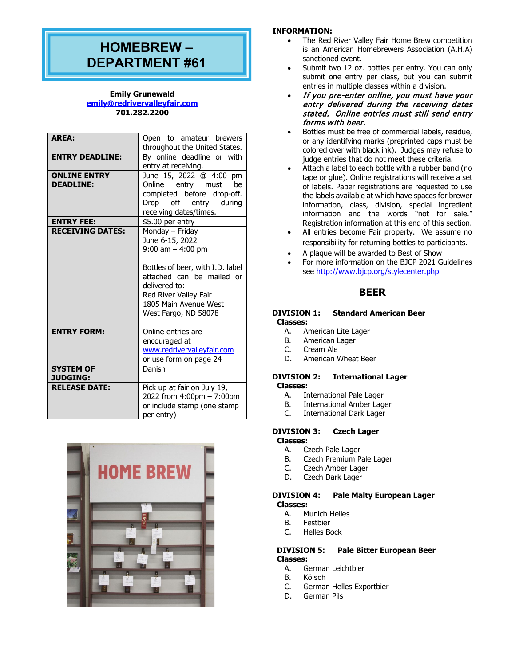# **HOMEBREW – DEPARTMENT #61**

## **Emily Grunewald [emily@redrivervalleyfair.com](mailto:emily@redrivervalleyfair.com) 701.282.2200**

| <b>AREA:</b>                            | Open to amateur brewers<br>throughout the United States.                                                                                                                                                               |
|-----------------------------------------|------------------------------------------------------------------------------------------------------------------------------------------------------------------------------------------------------------------------|
| <b>ENTRY DEADLINE:</b>                  | By online deadline or with<br>entry at receiving.                                                                                                                                                                      |
| <b>ONLINE ENTRY</b><br><b>DEADLINE:</b> | June 15, 2022 @ 4:00<br>pm<br>Online entry must<br>be<br>completed before drop-off.<br>Drop off<br>during<br>entry<br>receiving dates/times.                                                                           |
| <b>ENTRY FEE:</b>                       | \$5.00 per entry                                                                                                                                                                                                       |
| <b>RECEIVING DATES:</b>                 | Monday - Friday<br>June 6-15, 2022<br>$9:00$ am $-4:00$ pm<br>Bottles of beer, with I.D. label<br>attached can be mailed or<br>delivered to:<br>Red River Valley Fair<br>1805 Main Avenue West<br>West Fargo, ND 58078 |
| <b>ENTRY FORM:</b>                      | Online entries are<br>encouraged at<br>www.redrivervalleyfair.com<br>or use form on page 24                                                                                                                            |
| <b>SYSTEM OF</b><br><b>JUDGING:</b>     | Danish                                                                                                                                                                                                                 |
| <b>RELEASE DATE:</b>                    | Pick up at fair on July 19,<br>2022 from 4:00pm - 7:00pm<br>or include stamp (one stamp<br>per entry)                                                                                                                  |



## **INFORMATION:**

- The Red River Valley Fair Home Brew competition is an American Homebrewers Association (A.H.A) sanctioned event.
- Submit two 12 oz. bottles per entry. You can only submit one entry per class, but you can submit entries in multiple classes within a division.
- If you pre-enter online, you must have your entry delivered during the receiving dates stated. Online entries must still send entry forms with beer.
- Bottles must be free of commercial labels, residue, or any identifying marks (preprinted caps must be colored over with black ink). Judges may refuse to judge entries that do not meet these criteria.
- Attach a label to each bottle with a rubber band (no tape or glue). Online registrations will receive a set of labels. Paper registrations are requested to use the labels available at which have spaces for brewer information, class, division, special ingredient information and the words "not for sale." Registration information at this end of this section.
- All entries become Fair property. We assume no responsibility for returning bottles to participants.
- A plaque will be awarded to Best of Show
- For more information on the BJCP 2021 Guidelines see<http://www.bjcp.org/stylecenter.php>

## **BEER**

## **DIVISION 1: Standard American Beer Classes:**

- American Lite Lager
- B. American Lager<br>C. Cream Ale
- C. Cream Ale
- D. American Wheat Beer

#### **DIVISION 2: International Lager Classes:**

- A. International Pale Lager<br>B. International Amber Lag
- B. International Amber Lager<br>C. International Dark Lager
- **International Dark Lager**

## **DIVISION 3: Czech Lager**

**Classes:**

- A. Czech Pale Lager<br>B. Czech Premium P.
- B. Czech Premium Pale Lager
- C. Czech Amber Lager<br>D. Czech Dark Lager
- Czech Dark Lager

#### **DIVISION 4: Pale Malty European Lager Classes:**

- A. Munich Helles
- 
- B. Festbier<br>C. Helles B Helles Bock

## **DIVISION 5: Pale Bitter European Beer Classes:**

- A. German Leichtbier<br>B. Kölsch
- B. Kölsch<br>C. Germai
- C. German Helles Exportbier<br>D. German Pils
- German Pils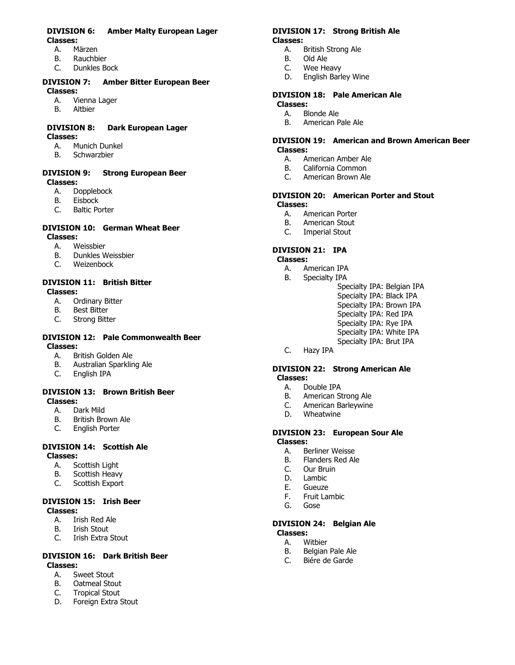## **DIVISION 6: Amber Malty European Lager Classes:**

- **Märzen**
- 
- B. Rauchbier<br>C. Dunkles B Dunkles Bock

#### **DIVISION 7: Amber Bitter European Beer Classes:**

- A. Vienna Lager
- B. Altbier

#### **DIVISION 8: Dark European Lager Classes:**

- A. Munich Dunkel<br>B. Schwarzbier
- **Schwarzbier**

## **DIVISION 9: Strong European Beer Classes:**

- A. Dopplebock<br>B. Eisbock
- B. Eisbock<br>C. Baltic Po
- **Baltic Porter**

# **DIVISION 10: German Wheat Beer**

- **Classes:**
	- A. Weissbier<br>B. Dunkles W B. Dunkles Weissbier<br>C. Weizenbock
	- Weizenbock

# **DIVISION 11: British Bitter**

- **Classes:**
	- A. Ordinary Bitter<br>B. Best Bitter
	- B. Best Bitter<br>C. Strong Bitt **Strong Bitter**

## **DIVISION 12: Pale Commonwealth Beer Classes:**

- A. British Golden Ale<br>B. Australian Sparklir
- B. Australian Sparkling Ale<br>C. English IPA
- English IPA

## **DIVISION 13: Brown British Beer Classes:**

- A. Dark Mild<br>B. British Bro
- B. British Brown Ale<br>C. Fnalish Porter
- English Porter

## **DIVISION 14: Scottish Ale Classes:**

- A. Scottish Light<br>B. Scottish Heav
- Scottish Heavy
- C. Scottish Export

#### **DIVISION 15: Irish Beer Classes:**

- A. Irish Red Ale<br>B. Irish Stout
- **Trish Stout**
- C. Irish Extra Stout

## **DIVISION 16: Dark British Beer Classes:**

- A. Sweet Stout<br>B. Oatmeal Stou
- B. Oatmeal Stout<br>C. Tropical Stout
- C. Tropical Stout<br>D. Foreign Extra 9
- Foreign Extra Stout

## **DIVISION 17: Strong British Ale**

# **Classes:**

- A. British Strong Ale<br>B. Old Ale
- B. Old Ale<br>C. Wee He
- Wee Heavy
- D. English Barley Wine

# **DIVISION 18: Pale American Ale**

- **Classes:**
	- A. Blonde Ale<br>B. American P B. American Pale Ale

## **DIVISION 19: American and Brown American Beer Classes:**

- A. American Amber Ale<br>B. California Common
- B. California Common<br>C. American Brown Ale
- American Brown Ale

## **DIVISION 20: American Porter and Stout Classes:**

- A. American Porter<br>B. American Stout
- B. American Stout<br>C. Imperial Stout
- Imperial Stout

## **DIVISION 21: IPA**

#### **Classes:**

- A. American IPA<br>B. Specialty IPA
- Specialty IPA
	- Specialty IPA: Belgian IPA
	- Specialty IPA: Black IPA Specialty IPA: Brown IPA
	- Specialty IPA: Red IPA
	- Specialty IPA: Rye IPA
	- Specialty IPA: White IPA
	- Specialty IPA: Brut IPA
- C. Hazy IPA

## **DIVISION 22: Strong American Ale Classes:**

- A. Double IPA<br>B. American S
- American Strong Ale
- C. American Barleywine<br>D. Wheatwine
- Wheatwine

## **DIVISION 23: European Sour Ale**

- **Classes:**
	- A. Berliner Weisse<br>B. Flanders Red Al
	- B. Flanders Red Ale<br>C. Our Bruin
	- Our Bruin
	- D. Lambic<br>E. Gueuze
	- **Gueuze**
	- F. Fruit Lambic
	- Gose

# **DIVISION 24: Belgian Ale**

- **Classes:**
	- A. Witbier<br>B. Belgian B. Belgian Pale Ale<br>C. Biére de Garde
	- Biére de Garde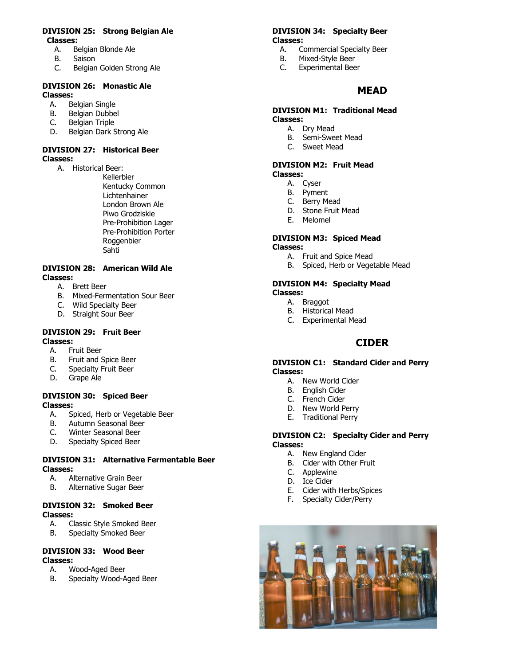## **DIVISION 25: Strong Belgian Ale Classes:**

- Belgian Blonde Ale
- B. Saison<br>C. Belgian
- Belgian Golden Strong Ale

## **DIVISION 26: Monastic Ale Classes:**

- A. Belgian Single<br>B. Belgian Dubbe
- Belgian Dubbel
- C. Belgian Triple<br>D. Belgian Dark S
- Belgian Dark Strong Ale

## **DIVISION 27: Historical Beer Classes:**

A. Historical Beer:

Kellerbier Kentucky Common Lichtenhainer London Brown Ale Piwo Grodziskie Pre-Prohibition Lager Pre-Prohibition Porter Roggenbier Sahti

#### **DIVISION 28: American Wild Ale Classes:**

- A. Brett Beer
- B. Mixed-Fermentation Sour Beer
- C. Wild Specialty Beer
- D. Straight Sour Beer

#### **DIVISION 29: Fruit Beer Classes:**

- 
- A. Fruit Beer<br>B. Fruit and 9
- B. Fruit and Spice Beer<br>C. Specialty Fruit Beer
- C. Specialty Fruit Beer<br>D. Grape Ale Grape Ale

## **DIVISION 30: Spiced Beer Classes:**

- Spiced, Herb or Vegetable Beer
- 
- B. Autumn Seasonal Beer<br>C. Winter Seasonal Beer Winter Seasonal Beer
- D. Specialty Spiced Beer

## **DIVISION 31: Alternative Fermentable Beer Classes:**

- A. Alternative Grain Beer
- B. Alternative Sugar Beer

# **DIVISION 32: Smoked Beer**

- **Classes:**<br>C A. C A. Classic Style Smoked Beer
	- B. Specialty Smoked Beer

#### **DIVISION 33: Wood Beer Classes:**

- A. Wood-Aged Beer
- B. Specialty Wood-Aged Beer

#### **DIVISION 34: Specialty Beer Classes:**

- A. Commercial Specialty Beer<br>B. Mixed-Style Beer
- Mixed-Style Beer
- C. Experimental Beer

## **MEAD**

#### **DIVISION M1: Traditional Mead Classes:**

- A. Dry Mead
- B. Semi-Sweet Mead
- C. Sweet Mead

#### **DIVISION M2: Fruit Mead Classes:**

- A. Cyser
	- B. Pyment
- C. Berry Mead
- D. Stone Fruit Mead
- E. Melomel

#### **DIVISION M3: Spiced Mead Classes:**

- A. Fruit and Spice Mead
- B. Spiced, Herb or Vegetable Mead

## **DIVISION M4: Specialty Mead Classes:**

- A. Braggot
- B. Historical Mead
- C. Experimental Mead

## **CIDER**

#### **DIVISION C1: Standard Cider and Perry Classes:**

- A. New World Cider
- B. English Cider
- C. French Cider
- D. New World Perry
- E. Traditional Perry

## **DIVISION C2: Specialty Cider and Perry Classes:**

- A. New England Cider
- B. Cider with Other Fruit
- C. Applewine
- D. Ice Cider
- E. Cider with Herbs/Spices
- F. Specialty Cider/Perry

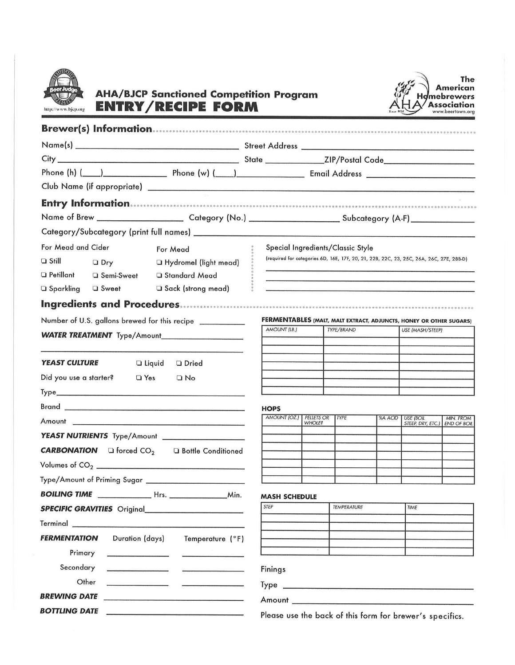

## **AHA/BJCP Sanctioned Competition Program ENTRY/RECIPE FORM**



|                                                                | Name of Brew ____________________________Category (No.) _________________________Subcategory (A-F) ________________          |
|----------------------------------------------------------------|------------------------------------------------------------------------------------------------------------------------------|
|                                                                |                                                                                                                              |
| For Mead and Cider<br>For Mead                                 | Special Ingredients/Classic Style                                                                                            |
| $\Box$ Still<br>$\Box$ Dry<br>□ Hydromel (light mead)          | (required for categories 6D, 16E, 17F, 20, 21, 22B, 22C, 23, 25C, 26A, 26C, 27E, 28B-D)                                      |
| $\Box$ Petillant<br>□ Semi-Sweet<br>□ Standard Mead            |                                                                                                                              |
| □ Sack (strong mead)<br>□ Sparkling<br><b>Q</b> Sweet          |                                                                                                                              |
|                                                                |                                                                                                                              |
| Number of U.S. gallons brewed for this recipe __________       | FERMENTABLES (MALT, MALT EXTRACT, ADJUNCTS, HONEY OR OTHER SUGARS)                                                           |
|                                                                | AMOUNT (LB.)<br>TYPE/BRAND<br><b>USE (MASH/STEEP)</b>                                                                        |
|                                                                |                                                                                                                              |
| <b>YEAST CULTURE</b><br>$\Box$ Liquid<br><b>Dried</b>          |                                                                                                                              |
| Did you use a starter?<br>$\Box$ Yes<br>$\Box$ No              |                                                                                                                              |
|                                                                |                                                                                                                              |
|                                                                | <b>HOPS</b>                                                                                                                  |
|                                                                | AMOUNT (OZ.) PELLETS OR<br><b>TYPE</b><br>%A ACID   USE (BOIL<br>MIN. FROM<br><b>WHOLE?</b><br>STEEP, DRY, ETC.) END OF BOIL |
| YEAST NUTRIENTS Type/Amount __________________                 |                                                                                                                              |
| <b>CARBONATION</b> $\Box$ forced $CO2$<br>□ Bottle Conditioned |                                                                                                                              |
|                                                                |                                                                                                                              |
|                                                                |                                                                                                                              |
|                                                                | <b>MASH SCHEDULE</b>                                                                                                         |
| <b>SPECIFIC GRAVITIES</b> Original                             | <b>STEP</b><br><b>TEMPERATURE</b><br>TIME                                                                                    |
|                                                                |                                                                                                                              |
| Duration (days)<br><b>FERMENTATION</b><br>Temperature (°F)     |                                                                                                                              |
| Primary<br>$\begin{array}{c} \hline \end{array}$               |                                                                                                                              |
| Secondary<br>and the control of the control of the             | Finings                                                                                                                      |
| Other                                                          |                                                                                                                              |
| <b>BREWING DATE</b>                                            | Amount <b>Amount</b>                                                                                                         |
| <b>BOTTLING DATE</b>                                           |                                                                                                                              |

Please use the back of this form for brewer's specifics.